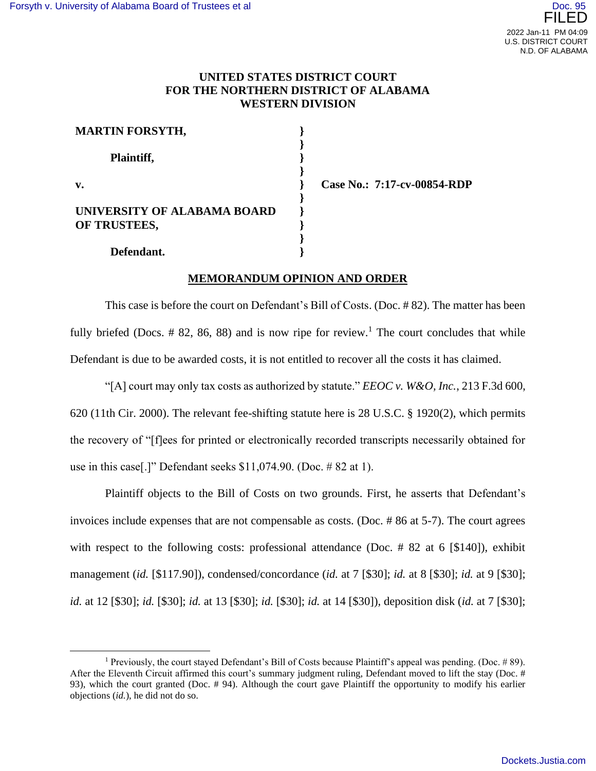## **UNITED STATES DISTRICT COURT FOR THE NORTHERN DISTRICT OF ALABAMA WESTERN DIVISION**

**} } } } } } } } } }**

| <b>MARTIN FORSYTH,</b>                      |  |
|---------------------------------------------|--|
| Plaintiff,                                  |  |
| $\mathbf{v}$ .                              |  |
| UNIVERSITY OF ALABAMA BOARD<br>OF TRUSTEES, |  |
| Defendant.                                  |  |

**Case No.: 7:17-cv-00854-RDP**

## **MEMORANDUM OPINION AND ORDER**

This case is before the court on Defendant's Bill of Costs. (Doc. # 82). The matter has been fully briefed (Docs.  $\#$  82, 86, 88) and is now ripe for review.<sup>1</sup> The court concludes that while Defendant is due to be awarded costs, it is not entitled to recover all the costs it has claimed.

"[A] court may only tax costs as authorized by statute." *EEOC v. W&O, Inc.*, 213 F.3d 600, 620 (11th Cir. 2000). The relevant fee-shifting statute here is 28 U.S.C. § 1920(2), which permits the recovery of "[f]ees for printed or electronically recorded transcripts necessarily obtained for use in this case[.]" Defendant seeks \$11,074.90. (Doc. # 82 at 1).

Plaintiff objects to the Bill of Costs on two grounds. First, he asserts that Defendant's invoices include expenses that are not compensable as costs. (Doc. # 86 at 5-7). The court agrees with respect to the following costs: professional attendance (Doc.  $\#$  82 at 6 [\$140]), exhibit management (*id.* [\$117.90]), condensed/concordance (*id.* at 7 [\$30]; *id.* at 8 [\$30]; *id.* at 9 [\$30]; *id.* at 12 [\$30]; *id.* [\$30]; *id.* at 13 [\$30]; *id.* [\$30]; *id.* at 14 [\$30]), deposition disk (*id.* at 7 [\$30];

<sup>&</sup>lt;sup>1</sup> Previously, the court stayed Defendant's Bill of Costs because Plaintiff's appeal was pending. (Doc. # 89). After the Eleventh Circuit affirmed this court's summary judgment ruling, Defendant moved to lift the stay (Doc. # 93), which the court granted (Doc. # 94). Although the court gave Plaintiff the opportunity to modify his earlier objections (*id.*), he did not do so.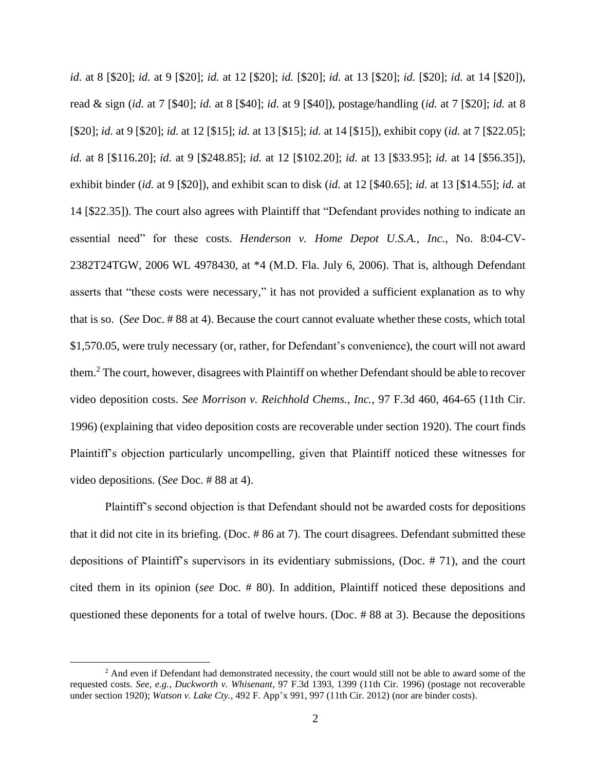*id.* at 8 [\$20]; *id.* at 9 [\$20]; *id.* at 12 [\$20]; *id.* [\$20]; *id.* at 13 [\$20]; *id.* [\$20]; *id.* at 14 [\$20]), read & sign (*id.* at 7 [\$40]; *id.* at 8 [\$40]; *id.* at 9 [\$40]), postage/handling (*id.* at 7 [\$20]; *id.* at 8 [\$20]; *id.* at 9 [\$20]; *id.* at 12 [\$15]; *id.* at 13 [\$15]; *id.* at 14 [\$15]), exhibit copy (*id.* at 7 [\$22.05]; *id.* at 8 [\$116.20]; *id.* at 9 [\$248.85]; *id.* at 12 [\$102.20]; *id.* at 13 [\$33.95]; *id.* at 14 [\$56.35]), exhibit binder (*id.* at 9 [\$20]), and exhibit scan to disk (*id.* at 12 [\$40.65]; *id.* at 13 [\$14.55]; *id.* at 14 [\$22.35]). The court also agrees with Plaintiff that "Defendant provides nothing to indicate an essential need" for these costs. *Henderson v. Home Depot U.S.A., Inc.*, No. 8:04-CV-2382T24TGW, 2006 WL 4978430, at \*4 (M.D. Fla. July 6, 2006). That is, although Defendant asserts that "these costs were necessary," it has not provided a sufficient explanation as to why that is so. (*See* Doc. # 88 at 4). Because the court cannot evaluate whether these costs, which total \$1,570.05, were truly necessary (or, rather, for Defendant's convenience), the court will not award them.<sup>2</sup> The court, however, disagrees with Plaintiff on whether Defendant should be able to recover video deposition costs. *See Morrison v. Reichhold Chems., Inc.*, 97 F.3d 460, 464-65 (11th Cir. 1996) (explaining that video deposition costs are recoverable under section 1920). The court finds Plaintiff's objection particularly uncompelling, given that Plaintiff noticed these witnesses for video depositions. (*See* Doc. # 88 at 4).

Plaintiff's second objection is that Defendant should not be awarded costs for depositions that it did not cite in its briefing. (Doc. # 86 at 7). The court disagrees. Defendant submitted these depositions of Plaintiff's supervisors in its evidentiary submissions, (Doc. # 71), and the court cited them in its opinion (*see* Doc. # 80). In addition, Plaintiff noticed these depositions and questioned these deponents for a total of twelve hours. (Doc. # 88 at 3). Because the depositions

<sup>&</sup>lt;sup>2</sup> And even if Defendant had demonstrated necessity, the court would still not be able to award some of the requested costs. *See, e.g.*, *Duckworth v. Whisenant*, 97 F.3d 1393, 1399 (11th Cir. 1996) (postage not recoverable under section 1920); *Watson v. Lake Cty.*, 492 F. App'x 991, 997 (11th Cir. 2012) (nor are binder costs).